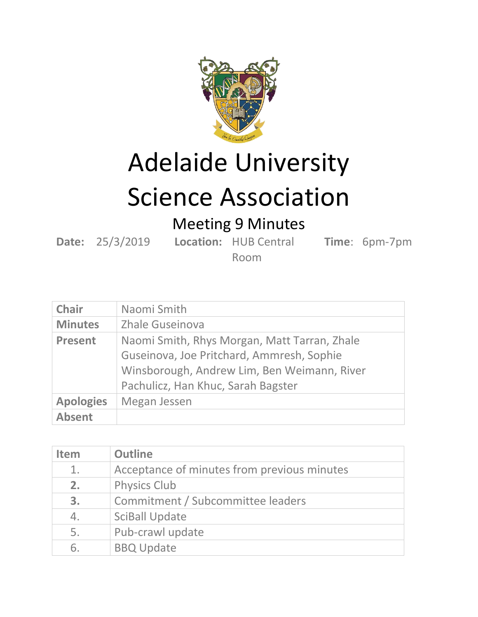

Adelaide University

## Science Association

Meeting 9 Minutes

**Date:** 25/3/2019 **Location:** HUB Central **Time**: 6pm-7pm

| ٠<br>٧ |  |
|--------|--|
|--------|--|

| <b>Chair</b>     | Naomi Smith                                                                                                                                                                    |  |
|------------------|--------------------------------------------------------------------------------------------------------------------------------------------------------------------------------|--|
| <b>Minutes</b>   | <b>Zhale Guseinova</b>                                                                                                                                                         |  |
| <b>Present</b>   | Naomi Smith, Rhys Morgan, Matt Tarran, Zhale<br>Guseinova, Joe Pritchard, Ammresh, Sophie<br>Winsborough, Andrew Lim, Ben Weimann, River<br>Pachulicz, Han Khuc, Sarah Bagster |  |
| <b>Apologies</b> | Megan Jessen                                                                                                                                                                   |  |
| <b>Absent</b>    |                                                                                                                                                                                |  |

| <b>Item</b> | <b>Outline</b>                              |
|-------------|---------------------------------------------|
| 1.          | Acceptance of minutes from previous minutes |
| 2.          | <b>Physics Club</b>                         |
| 3.          | Commitment / Subcommittee leaders           |
| 4.          | <b>SciBall Update</b>                       |
| 5.          | Pub-crawl update                            |
| 6           | <b>BBQ Update</b>                           |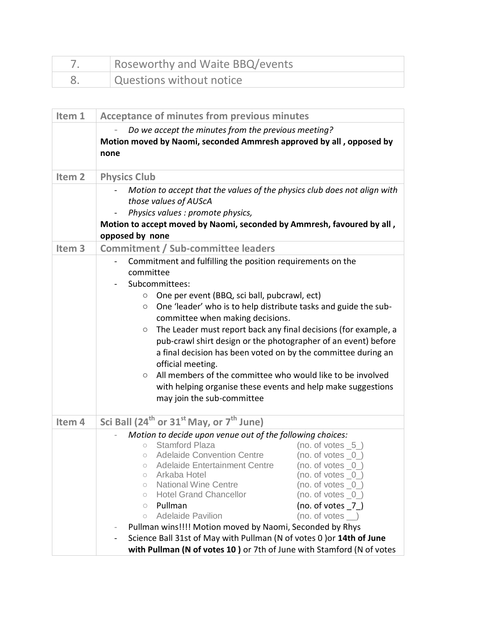| Roseworthy and Waite BBQ/events |
|---------------------------------|
| Questions without notice        |

| Item 1            | <b>Acceptance of minutes from previous minutes</b>                                                                                                                                                                                                                                                                                                                                                                                                                                                                                                                                                                                                                                                                                                              |  |  |
|-------------------|-----------------------------------------------------------------------------------------------------------------------------------------------------------------------------------------------------------------------------------------------------------------------------------------------------------------------------------------------------------------------------------------------------------------------------------------------------------------------------------------------------------------------------------------------------------------------------------------------------------------------------------------------------------------------------------------------------------------------------------------------------------------|--|--|
|                   | Do we accept the minutes from the previous meeting?<br>Motion moved by Naomi, seconded Ammresh approved by all, opposed by<br>none                                                                                                                                                                                                                                                                                                                                                                                                                                                                                                                                                                                                                              |  |  |
| Item <sub>2</sub> | <b>Physics Club</b>                                                                                                                                                                                                                                                                                                                                                                                                                                                                                                                                                                                                                                                                                                                                             |  |  |
|                   | Motion to accept that the values of the physics club does not align with<br>those values of AUScA<br>Physics values : promote physics,<br>Motion to accept moved by Naomi, seconded by Ammresh, favoured by all,<br>opposed by none                                                                                                                                                                                                                                                                                                                                                                                                                                                                                                                             |  |  |
| Item <sub>3</sub> | <b>Commitment / Sub-committee leaders</b>                                                                                                                                                                                                                                                                                                                                                                                                                                                                                                                                                                                                                                                                                                                       |  |  |
|                   | Commitment and fulfilling the position requirements on the<br>committee<br>Subcommittees:<br>One per event (BBQ, sci ball, pubcrawl, ect)<br>O<br>One 'leader' who is to help distribute tasks and guide the sub-<br>O<br>committee when making decisions.<br>The Leader must report back any final decisions (for example, a<br>$\circ$<br>pub-crawl shirt design or the photographer of an event) before<br>a final decision has been voted on by the committee during an<br>official meeting.<br>All members of the committee who would like to be involved<br>$\circ$<br>with helping organise these events and help make suggestions<br>may join the sub-committee                                                                                         |  |  |
| Item <sub>4</sub> | Sci Ball (24 <sup>th</sup> or 31 <sup>st</sup> May, or 7 <sup>th</sup> June)                                                                                                                                                                                                                                                                                                                                                                                                                                                                                                                                                                                                                                                                                    |  |  |
|                   | Motion to decide upon venue out of the following choices:<br><b>Stamford Plaza</b><br>(no. of votes $-5$ )<br>$\circ$<br>o Adelaide Convention Centre<br>(no. of votes $_0$ )<br><b>Adelaide Entertainment Centre</b><br>$(no. of votes_0)$<br>$\circ$<br>Arkaba Hotel<br>(no. of votes 0)<br>$\circ$<br><b>National Wine Centre</b><br>(no. of votes $_0$ )<br>$\circ$<br><b>Hotel Grand Chancellor</b><br>(no. of votes $_0$ )<br>$\circ$<br>Pullman<br>(no. of votes 7)<br>$\circ$<br><b>Adelaide Pavilion</b><br>$(no. of votes$ )<br>$\circ$<br>Pullman wins!!!! Motion moved by Naomi, Seconded by Rhys<br>Science Ball 31st of May with Pullman (N of votes 0 ) or 14th of June<br>with Pullman (N of votes 10) or 7th of June with Stamford (N of votes |  |  |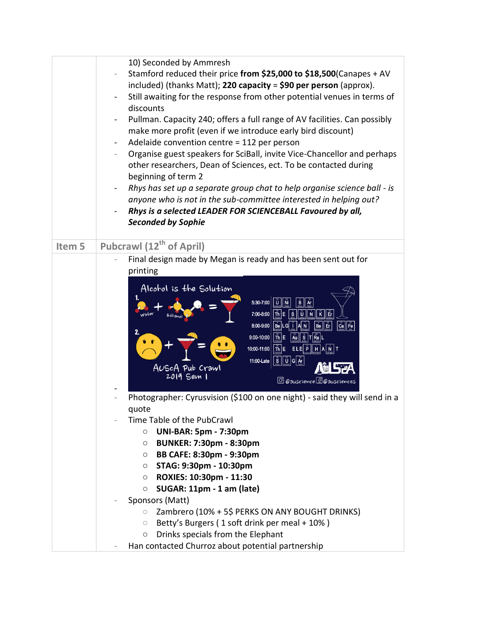| 10) Seconded by Ammresh<br>Stamford reduced their price from \$25,000 to \$18,500 (Canapes + AV<br>included) (thanks Matt); 220 capacity = \$90 per person (approx).<br>Still awaiting for the response from other potential venues in terms of<br>discounts<br>Pullman. Capacity 240; offers a full range of AV facilities. Can possibly<br>make more profit (even if we introduce early bird discount)<br>Adelaide convention centre = 112 per person<br>Organise guest speakers for SciBall, invite Vice-Chancellor and perhaps<br>other researchers, Dean of Sciences, ect. To be contacted during<br>beginning of term 2<br>Rhys has set up a separate group chat to help organise science ball - is<br>anyone who is not in the sub-committee interested in helping out?<br>Rhys is a selected LEADER FOR SCIENCEBALL Favoured by all,<br><b>Seconded by Sophie</b>                                                                                                                                  |  |
|------------------------------------------------------------------------------------------------------------------------------------------------------------------------------------------------------------------------------------------------------------------------------------------------------------------------------------------------------------------------------------------------------------------------------------------------------------------------------------------------------------------------------------------------------------------------------------------------------------------------------------------------------------------------------------------------------------------------------------------------------------------------------------------------------------------------------------------------------------------------------------------------------------------------------------------------------------------------------------------------------------|--|
| Pubcrawl (12 <sup>th</sup> of April)<br>Item 5                                                                                                                                                                                                                                                                                                                                                                                                                                                                                                                                                                                                                                                                                                                                                                                                                                                                                                                                                             |  |
| Final design made by Megan is ready and has been sent out for<br>printing<br>Alcohol is the Solution<br>۱ů<br>5:30-7:00<br><b>Ar</b><br>B<br>7:00-8:00<br>∥Ër<br>Th<br>$ \overset{\circ}{\mathsf{Ca}}  \overset{\circ}{\mathsf{Fe}} $<br>8:00-9:00<br>$\overline{Be}$<br>Ër  <br>9:00-10:00<br>$ \tilde{\mathsf{m}} $ E<br>Au<br>s<br>$\left \ddot{\mathbf{n}}\right $ E ELE<br>P<br>10:00-11:00<br>н<br>Ü G Ar<br>11:00-Late<br>AUSCA Pub Crawl<br>2019 Sem<br>O @auscience H @ausciences<br>Photographer: Cyrusvision (\$100 on one night) - said they will send in a<br>quote<br>Time Table of the PubCrawl<br><b>UNI-BAR: 5pm - 7:30pm</b><br>O<br><b>BUNKER: 7:30pm - 8:30pm</b><br>$\circ$<br>BB CAFE: 8:30pm - 9:30pm<br>$\circ$<br>STAG: 9:30pm - 10:30pm<br>$\circ$<br>ROXIES: 10:30pm - 11:30<br>$\circ$<br>SUGAR: 11pm - 1 am (late)<br>$\circ$<br>Sponsors (Matt)<br>Zambrero (10% + 5\$ PERKS ON ANY BOUGHT DRINKS)<br>$\bigcirc$<br>Betty's Burgers (1 soft drink per meal + 10%)<br>$\circ$ |  |
| Drinks specials from the Elephant<br>$\circ$<br>Han contacted Churroz about potential partnership                                                                                                                                                                                                                                                                                                                                                                                                                                                                                                                                                                                                                                                                                                                                                                                                                                                                                                          |  |
|                                                                                                                                                                                                                                                                                                                                                                                                                                                                                                                                                                                                                                                                                                                                                                                                                                                                                                                                                                                                            |  |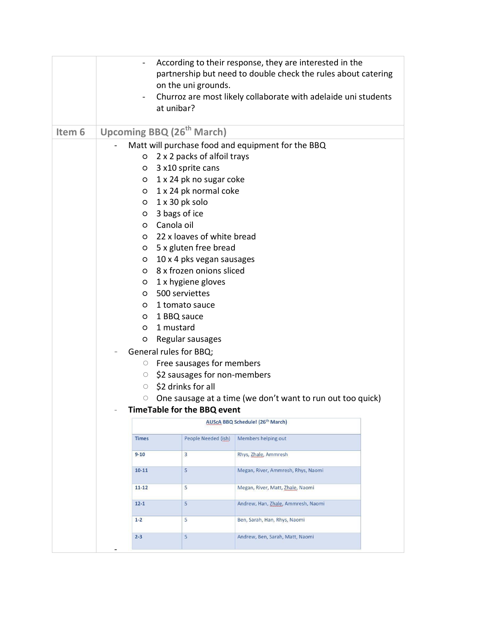|        | $\overline{\phantom{0}}$ | on the uni grounds.<br>at unibar?                   | According to their response, they are interested in the<br>partnership but need to double check the rules about catering<br>Churroz are most likely collaborate with adelaide uni students |  |
|--------|--------------------------|-----------------------------------------------------|--------------------------------------------------------------------------------------------------------------------------------------------------------------------------------------------|--|
| Item 6 |                          | <b>Upcoming BBQ (26<sup>th</sup> March)</b>         |                                                                                                                                                                                            |  |
|        |                          |                                                     | Matt will purchase food and equipment for the BBQ                                                                                                                                          |  |
|        |                          | $0$ 2 x 2 packs of alfoil trays                     |                                                                                                                                                                                            |  |
|        | $\circ$                  | 3 x10 sprite cans                                   |                                                                                                                                                                                            |  |
|        | $\circ$                  | 1 x 24 pk no sugar coke                             |                                                                                                                                                                                            |  |
|        | $\circ$                  | 1 x 24 pk normal coke                               |                                                                                                                                                                                            |  |
|        | $\circ$                  | $1 \times 30$ pk solo<br>3 bags of ice              |                                                                                                                                                                                            |  |
|        | $\circ$<br>$\circ$       | Canola oil                                          |                                                                                                                                                                                            |  |
|        | O                        | 22 x loaves of white bread                          |                                                                                                                                                                                            |  |
|        | $\circ$                  | 5 x gluten free bread                               |                                                                                                                                                                                            |  |
|        | $\circ$                  | 10 x 4 pks vegan sausages                           |                                                                                                                                                                                            |  |
|        | O                        | 8 x frozen onions sliced                            |                                                                                                                                                                                            |  |
|        | $\circ$                  | 1 x hygiene gloves                                  |                                                                                                                                                                                            |  |
|        | $\circ$                  | 500 serviettes                                      |                                                                                                                                                                                            |  |
|        | $\circ$                  | 1 tomato sauce                                      |                                                                                                                                                                                            |  |
|        | $\circ$                  | 1 BBQ sauce                                         |                                                                                                                                                                                            |  |
|        | $\circ$                  | 1 mustard                                           |                                                                                                                                                                                            |  |
|        | O                        | Regular sausages                                    |                                                                                                                                                                                            |  |
|        | $\bigcirc$               | General rules for BBQ;<br>Free sausages for members |                                                                                                                                                                                            |  |
|        | $\circ$                  | \$2 sausages for non-members                        |                                                                                                                                                                                            |  |
|        | $\circ$                  | \$2 drinks for all                                  |                                                                                                                                                                                            |  |
|        | О                        |                                                     | One sausage at a time (we don't want to run out too quick)                                                                                                                                 |  |
|        |                          | <b>TimeTable for the BBQ event</b>                  |                                                                                                                                                                                            |  |
|        |                          |                                                     | AUScA BBQ Schedule! (26 <sup>th</sup> March)                                                                                                                                               |  |
|        | <b>Times</b>             | People Needed (ish)                                 | Members helping out                                                                                                                                                                        |  |
|        | $9 - 10$                 | 3                                                   | Rhys, Zhale, Ammresh                                                                                                                                                                       |  |
|        | $10 - 11$                | 5                                                   | Megan, River, Ammresh, Rhys, Naomi                                                                                                                                                         |  |
|        | $11 - 12$                | 5                                                   | Megan, River, Matt, Zhale, Naomi                                                                                                                                                           |  |
|        | $12 - 1$                 | 5                                                   | Andrew, Han, Zhale, Ammresh, Naomi                                                                                                                                                         |  |
|        | $1 - 2$                  | 5                                                   | Ben, Sarah, Han, Rhys, Naomi                                                                                                                                                               |  |
|        | $2 - 3$                  | 5                                                   | Andrew, Ben, Sarah, Matt, Naomi                                                                                                                                                            |  |